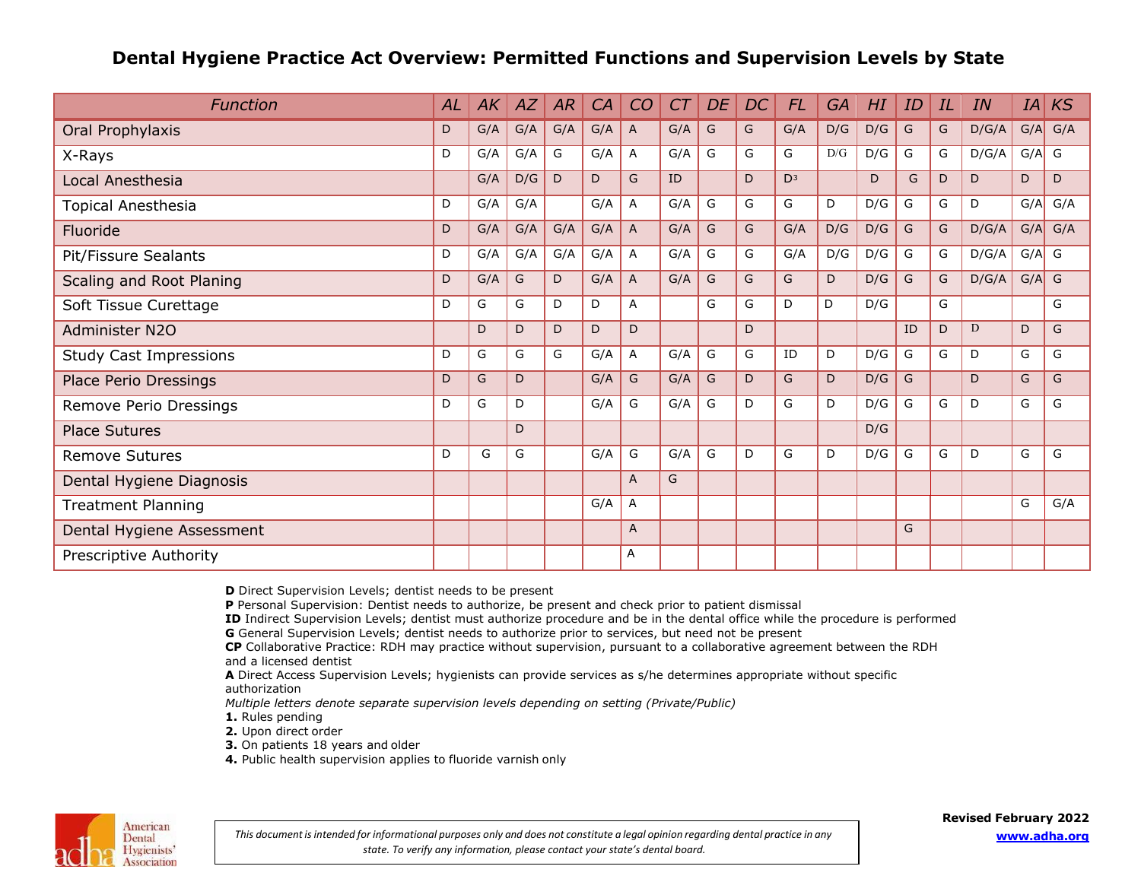## **Dental Hygiene Practice Act Overview: Permitted Functions and Supervision Levels by State**

| <b>Function</b>               | AL | AK  | AZ  | AR  | CA  | CO             | C <sub>T</sub> | DE | DC | <b>FL</b>      | <b>GA</b> | HI  | ID | IL | IN    | IA      | KS          |
|-------------------------------|----|-----|-----|-----|-----|----------------|----------------|----|----|----------------|-----------|-----|----|----|-------|---------|-------------|
| Oral Prophylaxis              | D  | G/A | G/A | G/A | G/A | $\overline{A}$ | G/A            | G  | G  | G/A            | D/G       | D/G | G  | G  | D/G/A |         | $G/A$ $G/A$ |
| X-Rays                        | D  | G/A | G/A | G   | G/A | A              | G/A            | G  | G  | G              | D/G       | D/G | G  | G  | D/G/A | $G/A$ G |             |
| Local Anesthesia              |    | G/A | D/G | D   | D   | G              | ID             |    | D  | D <sub>3</sub> |           | D   | G  | D  | D     | D       | D           |
| Topical Anesthesia            | D  | G/A | G/A |     | G/A | A              | G/A            | G  | G  | G              | D         | D/G | G  | G  | D     | G/A     | G/A         |
| Fluoride                      | D  | G/A | G/A | G/A | G/A | A              | G/A            | G  | G  | G/A            | D/G       | D/G | G  | G  | D/G/A | G/A     | G/A         |
| Pit/Fissure Sealants          | D  | G/A | G/A | G/A | G/A | $\mathsf{A}$   | G/A            | G  | G  | G/A            | D/G       | D/G | G  | G  | D/G/A | $G/A$ G |             |
| Scaling and Root Planing      | D  | G/A | G   | D   | G/A | $\overline{A}$ | G/A            | G  | G  | G              | D         | D/G | G  | G  | D/G/A | G/A     | G           |
| Soft Tissue Curettage         | D  | G   | G   | D   | D   | A              |                | G  | G  | D              | D         | D/G |    | G  |       |         | G           |
| Administer N2O                |    | D   | D   | D   | D   | D              |                |    | D  |                |           |     | ID | D  | D     | D       | G           |
| <b>Study Cast Impressions</b> | D  | G   | G   | G   | G/A | $\mathsf{A}$   | G/A            | G  | G  | ID             | D         | D/G | G  | G  | D     | G       | G           |
| <b>Place Perio Dressings</b>  | D  | G   | D   |     | G/A | G              | G/A            | G  | D  | G              | D         | D/G | G  |    | D     | G       | G           |
| Remove Perio Dressings        | D  | G   | D   |     | G/A | G              | G/A            | G  | D  | G              | D         | D/G | G  | G  | D     | G       | G           |
| <b>Place Sutures</b>          |    |     | D   |     |     |                |                |    |    |                |           | D/G |    |    |       |         |             |
| <b>Remove Sutures</b>         | D  | G   | G   |     | G/A | G              | G/A            | G  | D  | G              | D         | D/G | G  | G  | D     | G       | G           |
| Dental Hygiene Diagnosis      |    |     |     |     |     | $\overline{A}$ | G              |    |    |                |           |     |    |    |       |         |             |
| <b>Treatment Planning</b>     |    |     |     |     | G/A | Α              |                |    |    |                |           |     |    |    |       | G       | G/A         |
| Dental Hygiene Assessment     |    |     |     |     |     | $\overline{A}$ |                |    |    |                |           |     | G  |    |       |         |             |
| Prescriptive Authority        |    |     |     |     |     | Α              |                |    |    |                |           |     |    |    |       |         |             |

**D** Direct Supervision Levels; dentist needs to be present

**P** Personal Supervision: Dentist needs to authorize, be present and check prior to patient dismissal

**ID** Indirect Supervision Levels; dentist must authorize procedure and be in the dental office while the procedure is performed

G General Supervision Levels; dentist needs to authorize prior to services, but need not be present

**CP** Collaborative Practice: RDH may practice without supervision, pursuant to a collaborative agreement between the RDH and a licensed dentist

**A** Direct Access Supervision Levels; hygienists can provide services as s/he determines appropriate without specific authorization

*Multiple letters denote separate supervision levels depending on setting (Private/Public)*

- **1.** Rules pending
- **2.** Upon direct order
- **3.** On patients 18 years and older
- **4.** Public health supervision applies to fluoride varnish only



This document is intended for informational purposes only and does not constitute a legal opinion regarding dental practice in any *state. To verify any information, please contact your state's dental board.*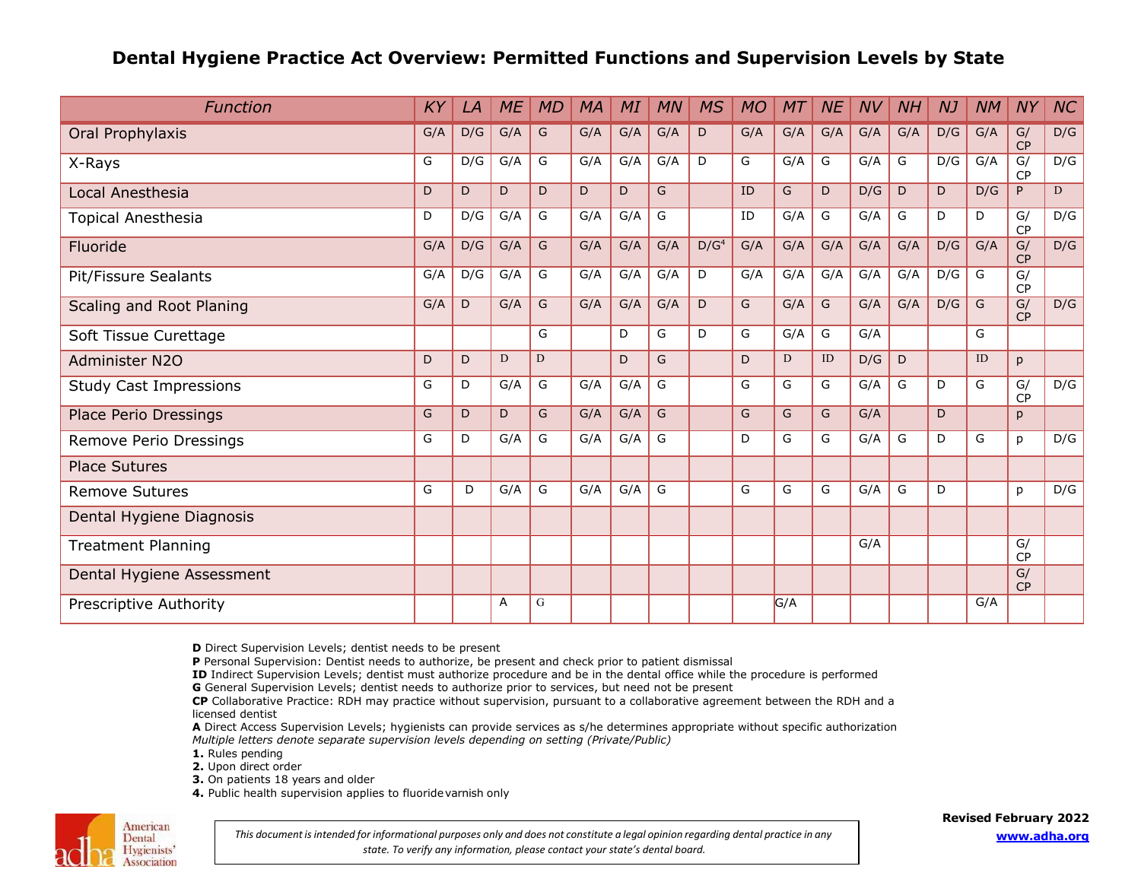## **Dental Hygiene Practice Act Overview: Permitted Functions and Supervision Levels by State**

| <b>Function</b>               | KY  | LA  | <b>ME</b> | <b>MD</b> | <b>MA</b> | MI  | <b>MN</b> | <b>MS</b>        | <b>MO</b> | MT  | <b>NE</b> | <b>NV</b> | NH  | <b>NJ</b> | <b>NM</b> | <b>NY</b>           | NC  |
|-------------------------------|-----|-----|-----------|-----------|-----------|-----|-----------|------------------|-----------|-----|-----------|-----------|-----|-----------|-----------|---------------------|-----|
| Oral Prophylaxis              | G/A | D/G | G/A       | G         | G/A       | G/A | G/A       | D                | G/A       | G/A | G/A       | G/A       | G/A | D/G       | G/A       | $\mathsf{G}/$<br>CP | D/G |
| X-Rays                        | G   | D/G | G/A       | G         | G/A       | G/A | G/A       | D                | G         | G/A | G         | G/A       | G   | D/G       | G/A       | G/<br><b>CP</b>     | D/G |
| Local Anesthesia              | D   | D   | D         | D         | D         | D   | G         |                  | ID        | G   | D         | D/G       | D   | D         | D/G       | P                   | D   |
| Topical Anesthesia            | D   | D/G | G/A       | G         | G/A       | G/A | G         |                  | ID        | G/A | G         | G/A       | G   | D         | D         | G/<br>CP            | D/G |
| Fluoride                      | G/A | D/G | G/A       | G         | G/A       | G/A | G/A       | D/G <sup>4</sup> | G/A       | G/A | G/A       | G/A       | G/A | D/G       | G/A       | G/<br>CP            | D/G |
| Pit/Fissure Sealants          | G/A | D/G | G/A       | G         | G/A       | G/A | G/A       | D                | G/A       | G/A | G/A       | G/A       | G/A | D/G       | G         | G/<br><b>CP</b>     |     |
| Scaling and Root Planing      | G/A | D   | G/A       | G         | G/A       | G/A | G/A       | D                | G         | G/A | G         | G/A       | G/A | D/G       | G         | G/<br>CP            | D/G |
| Soft Tissue Curettage         |     |     |           | G         |           | D   | G         | D                | G         | G/A | G         | G/A       |     |           | G         |                     |     |
| Administer N2O                | D   | D   | D         | D         |           | D   | G         |                  | D         | D   | ID        | D/G       | D   |           | ID        | p                   |     |
| <b>Study Cast Impressions</b> | G   | D   | G/A       | G         | G/A       | G/A | G         |                  | G         | G   | G         | G/A       | G   | D         | G         | G/<br><b>CP</b>     | D/G |
| Place Perio Dressings         | G   | D   | D         | G         | G/A       | G/A | G         |                  | G         | G   | G         | G/A       |     | D         |           | p                   |     |
| Remove Perio Dressings        | G   | D   | G/A       | G         | G/A       | G/A | G         |                  | D         | G   | G         | G/A       | G   | D         | G         | p                   | D/G |
| <b>Place Sutures</b>          |     |     |           |           |           |     |           |                  |           |     |           |           |     |           |           |                     |     |
| <b>Remove Sutures</b>         | G   | D   | G/A       | G         | G/A       | G/A | G         |                  | G         | G   | G         | G/A       | G   | D         |           | p                   | D/G |
| Dental Hygiene Diagnosis      |     |     |           |           |           |     |           |                  |           |     |           |           |     |           |           |                     |     |
| <b>Treatment Planning</b>     |     |     |           |           |           |     |           |                  |           |     |           | G/A       |     |           |           | G/<br><b>CP</b>     |     |
| Dental Hygiene Assessment     |     |     |           |           |           |     |           |                  |           |     |           |           |     |           |           | G/<br><b>CP</b>     |     |
| Prescriptive Authority        |     |     | Α         | G         |           |     |           |                  |           | G/A |           |           |     |           | G/A       |                     |     |

**D** Direct Supervision Levels; dentist needs to be present

**P** Personal Supervision: Dentist needs to authorize, be present and check prior to patient dismissal

**ID** Indirect Supervision Levels; dentist must authorize procedure and be in the dental office while the procedure is performed

G General Supervision Levels; dentist needs to authorize prior to services, but need not be present

**CP** Collaborative Practice: RDH may practice without supervision, pursuant to a collaborative agreement between the RDH and a licensed dentist

**A** Direct Access Supervision Levels; hygienists can provide services as s/he determines appropriate without specific authorization *Multiple letters denote separate supervision levels depending on setting (Private/Public)*

**1.** Rules pending

**2.** Upon direct order

**3.** On patients 18 years and older

4. Public health supervision applies to fluoride varnish only



This document is intended for informational purposes only and does not constitute a legal opinion regarding dental practice in any *state. To verify any information, please contact your state's dental board.*